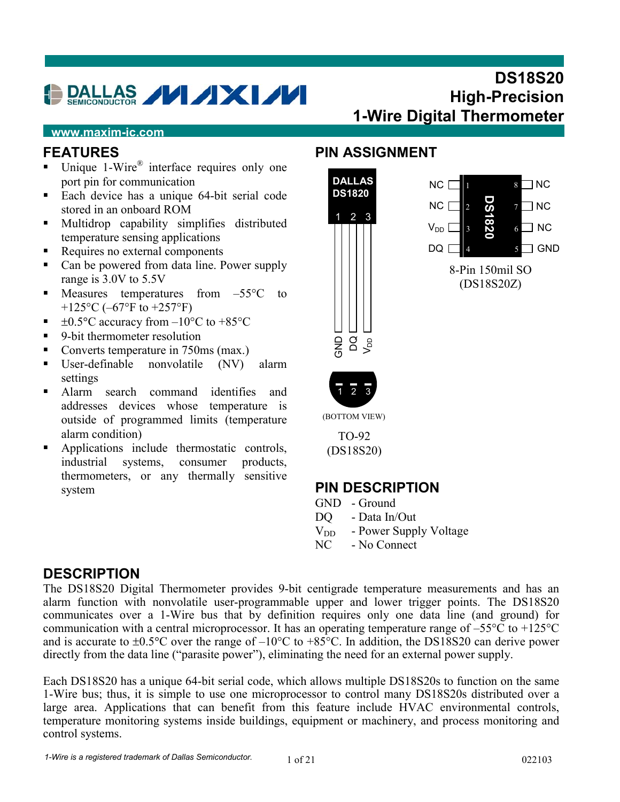# DALLAS **MXM**

# **DS18S20 High-Precision 1-Wire Digital Thermometer**

#### **www.maxim-ic.com**

### **FEATURES**

- Unique 1-Wire<sup>®</sup> interface requires only one port pin for communication
- Each device has a unique 64-bit serial code stored in an onboard ROM
- **Multidrop capability simplifies distributed** temperature sensing applications
- Requires no external components
- Can be powered from data line. Power supply range is 3.0V to 5.5V
- $\blacksquare$  Measures temperatures from  $-55^{\circ}\text{C}$  to +125 $\rm{^{\circ}C}$  (-67 $\rm{^{\circ}F}$  to +257 $\rm{^{\circ}F}$ )
- $\pm 0.5^{\circ}$ C accuracy from  $-10^{\circ}$ C to  $+85^{\circ}$ C
- 9-bit thermometer resolution
- Converts temperature in 750ms (max.)
- User-definable nonvolatile (NV) alarm settings
- Alarm search command identifies and addresses devices whose temperature is outside of programmed limits (temperature alarm condition)
- Applications include thermostatic controls, industrial systems, consumer products, thermometers, or any thermally sensitive system

## **PIN ASSIGNMENT**



(BOTTOM VIEW)

TO-92 (DS18S20)

### **PIN DESCRIPTION**

- GND Ground
- DQ Data In/Out
- $V_{DD}$  Power Supply Voltage
- NC No Connect

### **DESCRIPTION**

The DS18S20 Digital Thermometer provides 9-bit centigrade temperature measurements and has an alarm function with nonvolatile user-programmable upper and lower trigger points. The DS18S20 communicates over a 1-Wire bus that by definition requires only one data line (and ground) for communication with a central microprocessor. It has an operating temperature range of –55°C to +125°C and is accurate to  $\pm 0.5^{\circ}$ C over the range of  $-10^{\circ}$ C to  $+85^{\circ}$ C. In addition, the DS18S20 can derive power directly from the data line ("parasite power"), eliminating the need for an external power supply.

Each DS18S20 has a unique 64-bit serial code, which allows multiple DS18S20s to function on the same 1-Wire bus; thus, it is simple to use one microprocessor to control many DS18S20s distributed over a large area. Applications that can benefit from this feature include HVAC environmental controls, temperature monitoring systems inside buildings, equipment or machinery, and process monitoring and control systems.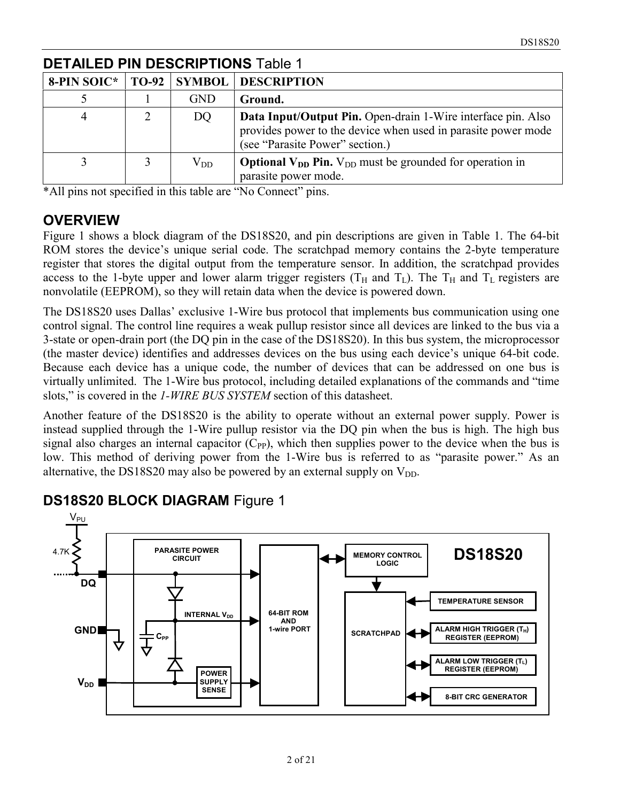| 8-PIN SOIC* | <b>TO-92</b> | <b>SYMBOL</b> | <b>DESCRIPTION</b>                                                                                                                                               |
|-------------|--------------|---------------|------------------------------------------------------------------------------------------------------------------------------------------------------------------|
|             |              | <b>GND</b>    | Ground.                                                                                                                                                          |
|             |              | DQ            | Data Input/Output Pin. Open-drain 1-Wire interface pin. Also<br>provides power to the device when used in parasite power mode<br>(see "Parasite Power" section.) |
|             |              | $\rm V_{DD}$  | <b>Optional V<sub>DD</sub></b> Pin. V <sub>DD</sub> must be grounded for operation in<br>parasite power mode.                                                    |

### **DETAILED PIN DESCRIPTIONS** Table 1

\*All pins not specified in this table are "No Connect" pins.

#### **OVERVIEW**

Figure 1 shows a block diagram of the DS18S20, and pin descriptions are given in Table 1. The 64-bit ROM stores the device's unique serial code. The scratchpad memory contains the 2-byte temperature register that stores the digital output from the temperature sensor. In addition, the scratchpad provides access to the 1-byte upper and lower alarm trigger registers ( $T_H$  and  $T_L$ ). The  $T_H$  and  $T_L$  registers are nonvolatile (EEPROM), so they will retain data when the device is powered down.

The DS18S20 uses Dallas' exclusive 1-Wire bus protocol that implements bus communication using one control signal. The control line requires a weak pullup resistor since all devices are linked to the bus via a 3-state or open-drain port (the DQ pin in the case of the DS18S20). In this bus system, the microprocessor (the master device) identifies and addresses devices on the bus using each device's unique 64-bit code. Because each device has a unique code, the number of devices that can be addressed on one bus is virtually unlimited. The 1-Wire bus protocol, including detailed explanations of the commands and "time slots," is covered in the *1-WIRE BUS SYSTEM* section of this datasheet.

Another feature of the DS18S20 is the ability to operate without an external power supply. Power is instead supplied through the 1-Wire pullup resistor via the DQ pin when the bus is high. The high bus signal also charges an internal capacitor  $(C_{PP})$ , which then supplies power to the device when the bus is low. This method of deriving power from the 1-Wire bus is referred to as "parasite power." As an alternative, the DS18S20 may also be powered by an external supply on  $V_{DD}$ .



### **DS18S20 BLOCK DIAGRAM** Figure 1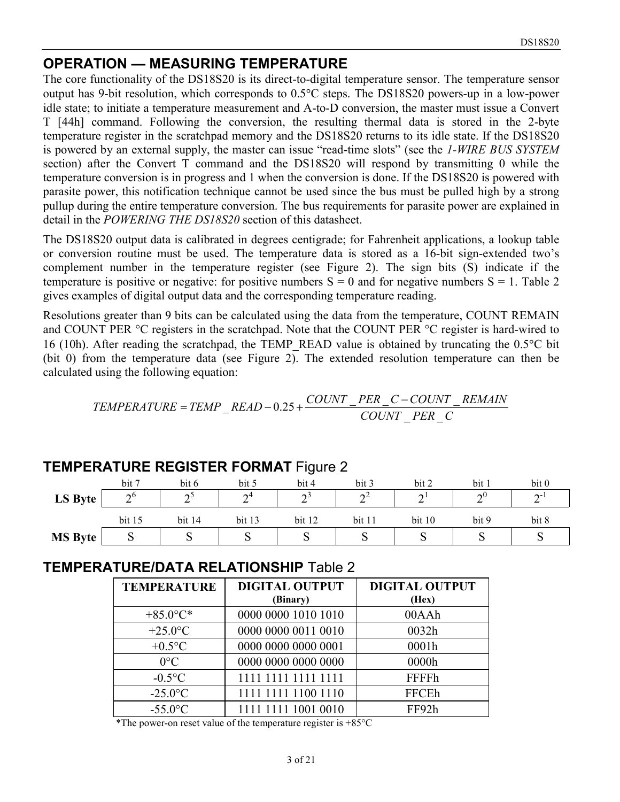#### **OPERATION — MEASURING TEMPERATURE**

The core functionality of the DS18S20 is its direct-to-digital temperature sensor. The temperature sensor output has 9-bit resolution, which corresponds to 0.5°C steps. The DS18S20 powers-up in a low-power idle state; to initiate a temperature measurement and A-to-D conversion, the master must issue a Convert T [44h] command. Following the conversion, the resulting thermal data is stored in the 2-byte temperature register in the scratchpad memory and the DS18S20 returns to its idle state. If the DS18S20 is powered by an external supply, the master can issue "read-time slots" (see the *1-WIRE BUS SYSTEM* section) after the Convert T command and the DS18S20 will respond by transmitting 0 while the temperature conversion is in progress and 1 when the conversion is done. If the DS18S20 is powered with parasite power, this notification technique cannot be used since the bus must be pulled high by a strong pullup during the entire temperature conversion. The bus requirements for parasite power are explained in detail in the *POWERING THE DS18S20* section of this datasheet.

The DS18S20 output data is calibrated in degrees centigrade; for Fahrenheit applications, a lookup table or conversion routine must be used. The temperature data is stored as a 16-bit sign-extended two's complement number in the temperature register (see Figure 2). The sign bits (S) indicate if the temperature is positive or negative: for positive numbers  $S = 0$  and for negative numbers  $S = 1$ . Table 2 gives examples of digital output data and the corresponding temperature reading.

Resolutions greater than 9 bits can be calculated using the data from the temperature, COUNT REMAIN and COUNT PER °C registers in the scratchpad. Note that the COUNT PER °C register is hard-wired to 16 (10h). After reading the scratchpad, the TEMP\_READ value is obtained by truncating the 0.5°C bit (bit 0) from the temperature data (see Figure 2). The extended resolution temperature can then be calculated using the following equation:

$$
TEMPERATURE = TEMP \_ READ - 0.25 + \frac{COUNT \_PER \_C - COUNT \_REMAIN}{COUNT \_PER \_C}
$$

|                |            |         |                       | -      |                           |        |                    |             |
|----------------|------------|---------|-----------------------|--------|---------------------------|--------|--------------------|-------------|
|                | bit 7      | bit 6   | bit 5                 | bit 4  | bit 3                     | bit 2  | bit                | bit 0       |
| LS Byte        | $\Delta^0$ | ົດ<br>∽ | $\mathbf{\sim}4$<br>∸ | $\sim$ | $\mathbf{A}^{\mathbf{Z}}$ | $\sim$ | $\mathbf{v}^{(0)}$ | $\sim$<br>- |
|                | bit 15     | bit 14  | bit 13                | bit 12 | bit 11                    | bit 10 | bit 9              | bit 8       |
| <b>MS Byte</b> | ◡          | ບ       | ◡                     | ◡      | ັ                         |        | ັ                  | ∼           |

#### **TEMPERATURE REGISTER FORMAT** Figure 2

### **TEMPERATURE/DATA RELATIONSHIP** Table 2

| <b>TEMPERATURE</b> | <b>DIGITAL OUTPUT</b><br>(Binary) | <b>DIGITAL OUTPUT</b><br>(Hex) |
|--------------------|-----------------------------------|--------------------------------|
| $+85.0$ °C*        | 0000 0000 1010 1010               | 00AAh                          |
| $+25.0$ °C         | 0000 0000 0011 0010               | 0032h                          |
| $+0.5$ °C          | 0000 0000 0000 0001               | 0001h                          |
| $0^{\circ}$ C      | 0000 0000 0000 0000               | 0000h                          |
| $-0.5$ °C          | 1111 1111 1111 1111               | <b>FFFFh</b>                   |
| $-25.0$ °C         | 1111 1111 1100 1110               | <b>FFCEh</b>                   |
| $-55.0$ °C         | 1111 1111 1001 0010               | FF92h                          |

\*The power-on reset value of the temperature register is  $+85^{\circ}$ C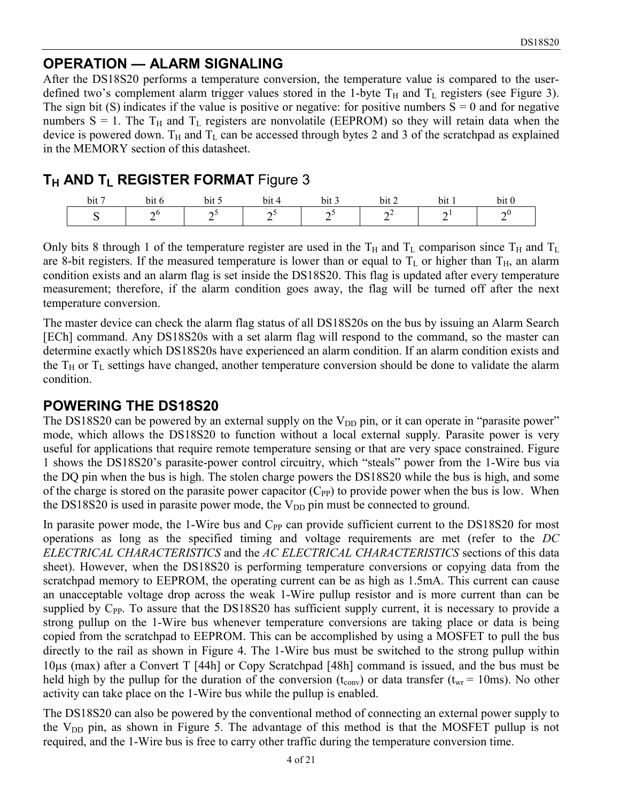# **OPERATION — ALARM SIGNALING**

After the DS18S20 performs a temperature conversion, the temperature value is compared to the userdefined two's complement alarm trigger values stored in the 1-byte  $T_H$  and  $T_L$  registers (see Figure 3). The sign bit (S) indicates if the value is positive or negative: for positive numbers  $S = 0$  and for negative numbers  $S = 1$ . The T<sub>H</sub> and T<sub>L</sub> registers are nonvolatile (EEPROM) so they will retain data when the device is powered down.  $T_H$  and  $T_L$  can be accessed through bytes 2 and 3 of the scratchpad as explained in the MEMORY section of this datasheet.

# **TH AND TL REGISTER FORMAT Figure 3**

| . .<br>bit | bit<br>- 0 | . .<br>bit | bit | bit 3  | bit      | bit | $\cdot$ .<br>bit 0 |
|------------|------------|------------|-----|--------|----------|-----|--------------------|
|            | AU.        |            | ∸   | -<br>- | $-$<br>- | -   | -                  |

Only bits 8 through 1 of the temperature register are used in the  $T_H$  and  $T_L$  comparison since  $T_H$  and  $T_L$ are 8-bit registers. If the measured temperature is lower than or equal to  $T_L$  or higher than  $T_H$ , an alarm condition exists and an alarm flag is set inside the DS18S20. This flag is updated after every temperature measurement; therefore, if the alarm condition goes away, the flag will be turned off after the next temperature conversion.

The master device can check the alarm flag status of all DS18S20s on the bus by issuing an Alarm Search [ECh] command. Any DS18S20s with a set alarm flag will respond to the command, so the master can determine exactly which DS18S20s have experienced an alarm condition. If an alarm condition exists and the  $T_H$  or  $T_L$  settings have changed, another temperature conversion should be done to validate the alarm condition.

# **POWERING THE DS18S20**

The DS18S20 can be powered by an external supply on the  $V_{DD}$  pin, or it can operate in "parasite power" mode, which allows the DS18S20 to function without a local external supply. Parasite power is very useful for applications that require remote temperature sensing or that are very space constrained. Figure 1 shows the DS18S20's parasite-power control circuitry, which "steals" power from the 1-Wire bus via the DQ pin when the bus is high. The stolen charge powers the DS18S20 while the bus is high, and some of the charge is stored on the parasite power capacitor  $(C_{PP})$  to provide power when the bus is low. When the DS18S20 is used in parasite power mode, the  $V_{DD}$  pin must be connected to ground.

In parasite power mode, the 1-Wire bus and  $C_{PP}$  can provide sufficient current to the DS18S20 for most operations as long as the specified timing and voltage requirements are met (refer to the *DC ELECTRICAL CHARACTERISTICS* and the *AC ELECTRICAL CHARACTERISTICS* sections of this data sheet). However, when the DS18S20 is performing temperature conversions or copying data from the scratchpad memory to EEPROM, the operating current can be as high as 1.5mA. This current can cause an unacceptable voltage drop across the weak 1-Wire pullup resistor and is more current than can be supplied by  $C_{PP}$ . To assure that the DS18S20 has sufficient supply current, it is necessary to provide a strong pullup on the 1-Wire bus whenever temperature conversions are taking place or data is being copied from the scratchpad to EEPROM. This can be accomplished by using a MOSFET to pull the bus directly to the rail as shown in Figure 4. The 1-Wire bus must be switched to the strong pullup within 10s (max) after a Convert T [44h] or Copy Scratchpad [48h] command is issued, and the bus must be held high by the pullup for the duration of the conversion ( $t_{\rm conv}$ ) or data transfer ( $t_{\rm wr}$  = 10ms). No other activity can take place on the 1-Wire bus while the pullup is enabled.

The DS18S20 can also be powered by the conventional method of connecting an external power supply to the  $V_{DD}$  pin, as shown in Figure 5. The advantage of this method is that the MOSFET pullup is not required, and the 1-Wire bus is free to carry other traffic during the temperature conversion time.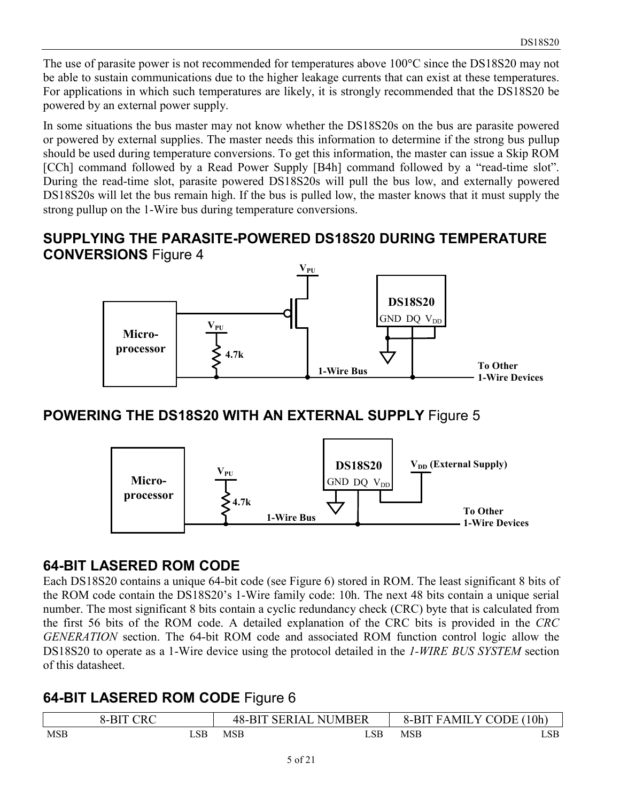The use of parasite power is not recommended for temperatures above 100°C since the DS18S20 may not be able to sustain communications due to the higher leakage currents that can exist at these temperatures. For applications in which such temperatures are likely, it is strongly recommended that the DS18S20 be powered by an external power supply.

In some situations the bus master may not know whether the DS18S20s on the bus are parasite powered or powered by external supplies. The master needs this information to determine if the strong bus pullup should be used during temperature conversions. To get this information, the master can issue a Skip ROM [CCh] command followed by a Read Power Supply [B4h] command followed by a "read-time slot". During the read-time slot, parasite powered DS18S20s will pull the bus low, and externally powered DS18S20s will let the bus remain high. If the bus is pulled low, the master knows that it must supply the strong pullup on the 1-Wire bus during temperature conversions.

### **SUPPLYING THE PARASITE-POWERED DS18S20 DURING TEMPERATURE CONVERSIONS** Figure 4



# **POWERING THE DS18S20 WITH AN EXTERNAL SUPPLY** Figure 5



### **64-BIT LASERED ROM CODE**

Each DS18S20 contains a unique 64-bit code (see Figure 6) stored in ROM. The least significant 8 bits of the ROM code contain the DS18S20's 1-Wire family code: 10h. The next 48 bits contain a unique serial number. The most significant 8 bits contain a cyclic redundancy check (CRC) byte that is calculated from the first 56 bits of the ROM code. A detailed explanation of the CRC bits is provided in the *CRC GENERATION* section. The 64-bit ROM code and associated ROM function control logic allow the DS18S20 to operate as a 1-Wire device using the protocol detailed in the *1-WIRE BUS SYSTEM* section of this datasheet.

# **64-BIT LASERED ROM CODE** Figure 6

|     | 8-BIT CRC |     | <b>48-BIT SERIAL</b><br><b>NUMBER</b> | 8-BIT      | FAMILY CODE (10h) |
|-----|-----------|-----|---------------------------------------|------------|-------------------|
| MSB | LSB       | MSB | LSB                                   | <b>MSB</b> | LSB               |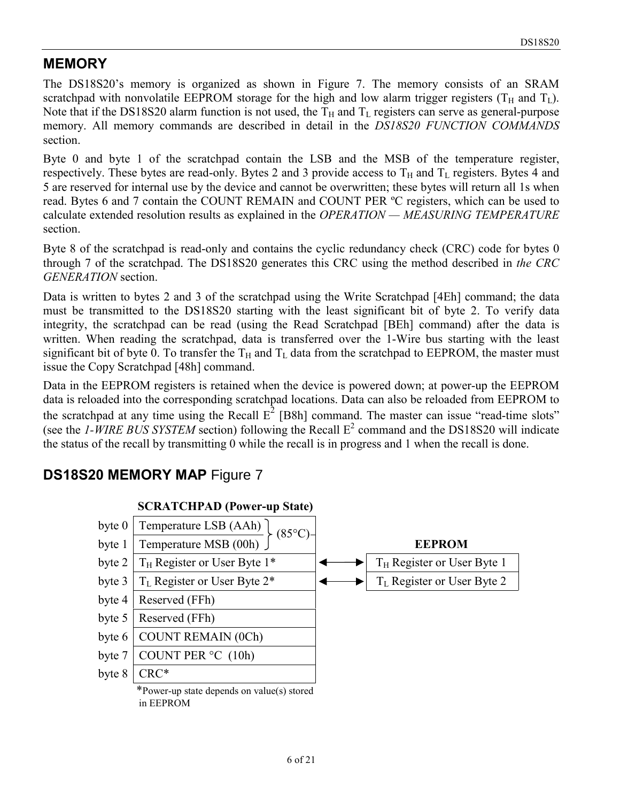# **MEMORY**

The DS18S20's memory is organized as shown in Figure 7. The memory consists of an SRAM scratchpad with nonvolatile EEPROM storage for the high and low alarm trigger registers ( $T_H$  and  $T_L$ ). Note that if the DS18S20 alarm function is not used, the  $T_H$  and  $T_L$  registers can serve as general-purpose memory. All memory commands are described in detail in the *DS18S20 FUNCTION COMMANDS* section.

Byte 0 and byte 1 of the scratchpad contain the LSB and the MSB of the temperature register, respectively. These bytes are read-only. Bytes 2 and 3 provide access to  $T_H$  and  $T_L$  registers. Bytes 4 and 5 are reserved for internal use by the device and cannot be overwritten; these bytes will return all 1s when read. Bytes 6 and 7 contain the COUNT REMAIN and COUNT PER ºC registers, which can be used to calculate extended resolution results as explained in the *OPERATION — MEASURING TEMPERATURE* section.

Byte 8 of the scratchpad is read-only and contains the cyclic redundancy check (CRC) code for bytes 0 through 7 of the scratchpad. The DS18S20 generates this CRC using the method described in *the CRC GENERATION* section.

Data is written to bytes 2 and 3 of the scratchpad using the Write Scratchpad [4Eh] command; the data must be transmitted to the DS18S20 starting with the least significant bit of byte 2. To verify data integrity, the scratchpad can be read (using the Read Scratchpad [BEh] command) after the data is written. When reading the scratchpad, data is transferred over the 1-Wire bus starting with the least significant bit of byte 0. To transfer the  $T_H$  and  $T_L$  data from the scratchpad to EEPROM, the master must issue the Copy Scratchpad [48h] command.

Data in the EEPROM registers is retained when the device is powered down; at power-up the EEPROM data is reloaded into the corresponding scratchpad locations. Data can also be reloaded from EEPROM to the scratchpad at any time using the Recall  $E^2$  [B8h] command. The master can issue "read-time slots" (see the *1-WIRE BUS SYSTEM* section) following the Recall  $E^2$  command and the DS18S20 will indicate the status of the recall by transmitting 0 while the recall is in progress and 1 when the recall is done.

# **DS18S20 MEMORY MAP** Figure 7

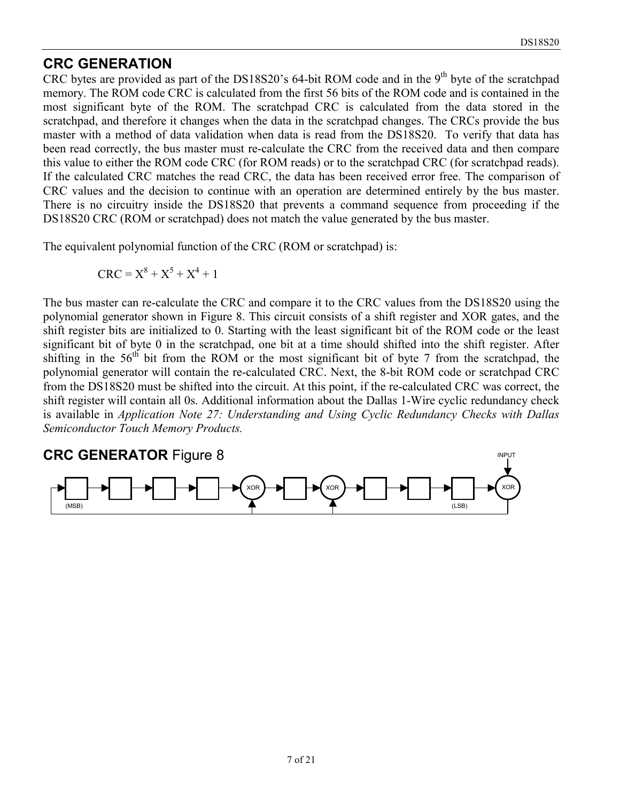#### **CRC GENERATION**

CRC bytes are provided as part of the DS18S20's 64-bit ROM code and in the 9<sup>th</sup> byte of the scratchpad memory. The ROM code CRC is calculated from the first 56 bits of the ROM code and is contained in the most significant byte of the ROM. The scratchpad CRC is calculated from the data stored in the scratchpad, and therefore it changes when the data in the scratchpad changes. The CRCs provide the bus master with a method of data validation when data is read from the DS18S20. To verify that data has been read correctly, the bus master must re-calculate the CRC from the received data and then compare this value to either the ROM code CRC (for ROM reads) or to the scratchpad CRC (for scratchpad reads). If the calculated CRC matches the read CRC, the data has been received error free. The comparison of CRC values and the decision to continue with an operation are determined entirely by the bus master. There is no circuitry inside the DS18S20 that prevents a command sequence from proceeding if the DS18S20 CRC (ROM or scratchpad) does not match the value generated by the bus master.

The equivalent polynomial function of the CRC (ROM or scratchpad) is:

$$
CRC = X^8 + X^5 + X^4 + 1
$$

The bus master can re-calculate the CRC and compare it to the CRC values from the DS18S20 using the polynomial generator shown in Figure 8. This circuit consists of a shift register and XOR gates, and the shift register bits are initialized to 0. Starting with the least significant bit of the ROM code or the least significant bit of byte 0 in the scratchpad, one bit at a time should shifted into the shift register. After shifting in the  $56<sup>th</sup>$  bit from the ROM or the most significant bit of byte 7 from the scratchpad, the polynomial generator will contain the re-calculated CRC. Next, the 8-bit ROM code or scratchpad CRC from the DS18S20 must be shifted into the circuit. At this point, if the re-calculated CRC was correct, the shift register will contain all 0s. Additional information about the Dallas 1-Wire cyclic redundancy check is available in *Application Note 27: Understanding and Using Cyclic Redundancy Checks with Dallas Semiconductor Touch Memory Products.*

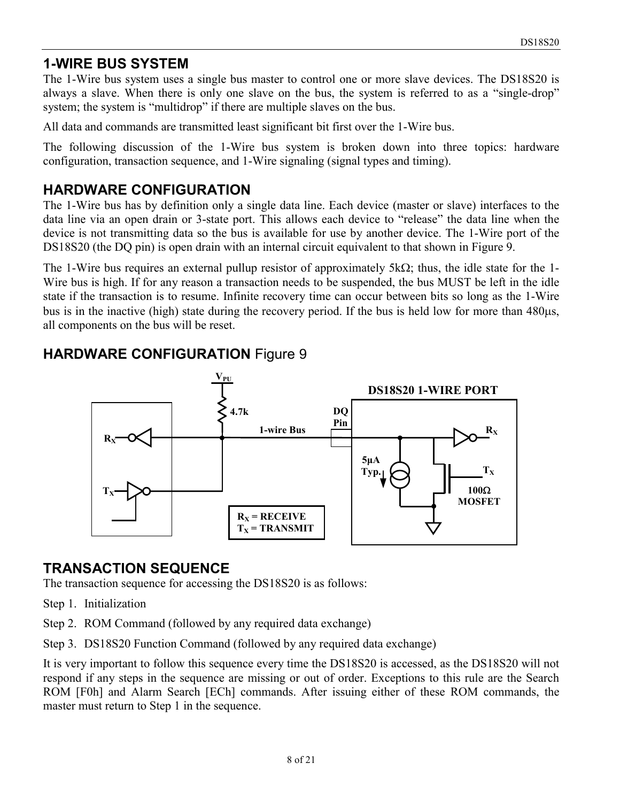# **1-WIRE BUS SYSTEM**

The 1-Wire bus system uses a single bus master to control one or more slave devices. The DS18S20 is always a slave. When there is only one slave on the bus, the system is referred to as a "single-drop" system; the system is "multidrop" if there are multiple slaves on the bus.

All data and commands are transmitted least significant bit first over the 1-Wire bus.

The following discussion of the 1-Wire bus system is broken down into three topics: hardware configuration, transaction sequence, and 1-Wire signaling (signal types and timing).

# **HARDWARE CONFIGURATION**

The 1-Wire bus has by definition only a single data line. Each device (master or slave) interfaces to the data line via an open drain or 3-state port. This allows each device to "release" the data line when the device is not transmitting data so the bus is available for use by another device. The 1-Wire port of the DS18S20 (the DQ pin) is open drain with an internal circuit equivalent to that shown in Figure 9.

The 1-Wire bus requires an external pullup resistor of approximately  $5k\Omega$ ; thus, the idle state for the 1-Wire bus is high. If for any reason a transaction needs to be suspended, the bus MUST be left in the idle state if the transaction is to resume. Infinite recovery time can occur between bits so long as the 1-Wire bus is in the inactive (high) state during the recovery period. If the bus is held low for more than 480 $\mu$ s, all components on the bus will be reset.



# **HARDWARE CONFIGURATION** Figure 9

# **TRANSACTION SEQUENCE**

The transaction sequence for accessing the DS18S20 is as follows:

- Step 1. Initialization
- Step 2. ROM Command (followed by any required data exchange)
- Step 3. DS18S20 Function Command (followed by any required data exchange)

It is very important to follow this sequence every time the DS18S20 is accessed, as the DS18S20 will not respond if any steps in the sequence are missing or out of order. Exceptions to this rule are the Search ROM [F0h] and Alarm Search [ECh] commands. After issuing either of these ROM commands, the master must return to Step 1 in the sequence.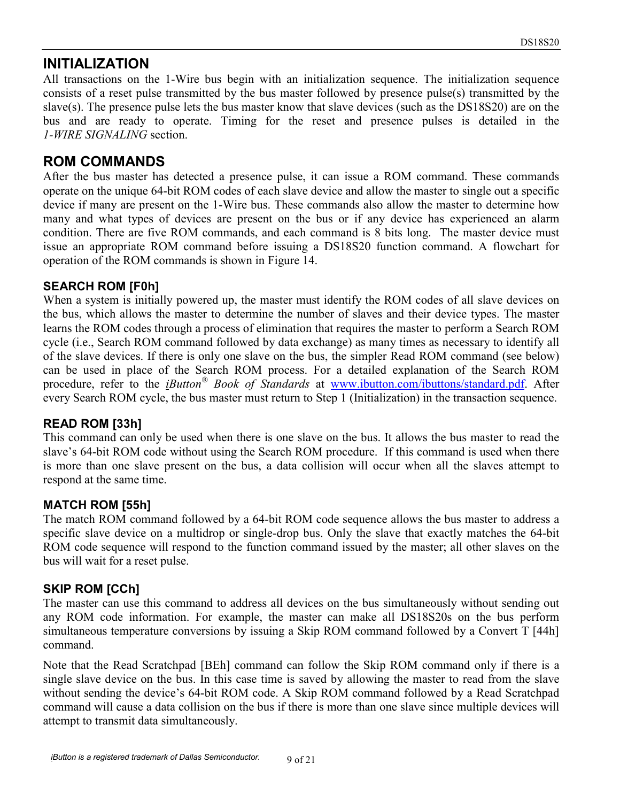### **INITIALIZATION**

All transactions on the 1-Wire bus begin with an initialization sequence. The initialization sequence consists of a reset pulse transmitted by the bus master followed by presence pulse(s) transmitted by the slave(s). The presence pulse lets the bus master know that slave devices (such as the DS18S20) are on the bus and are ready to operate. Timing for the reset and presence pulses is detailed in the *1-WIRE SIGNALING* section.

### **ROM COMMANDS**

After the bus master has detected a presence pulse, it can issue a ROM command. These commands operate on the unique 64-bit ROM codes of each slave device and allow the master to single out a specific device if many are present on the 1-Wire bus. These commands also allow the master to determine how many and what types of devices are present on the bus or if any device has experienced an alarm condition. There are five ROM commands, and each command is 8 bits long. The master device must issue an appropriate ROM command before issuing a DS18S20 function command. A flowchart for operation of the ROM commands is shown in Figure 14.

#### **SEARCH ROM [F0h]**

When a system is initially powered up, the master must identify the ROM codes of all slave devices on the bus, which allows the master to determine the number of slaves and their device types. The master learns the ROM codes through a process of elimination that requires the master to perform a Search ROM cycle (i.e., Search ROM command followed by data exchange) as many times as necessary to identify all of the slave devices. If there is only one slave on the bus, the simpler Read ROM command (see below) can be used in place of the Search ROM process. For a detailed explanation of the Search ROM procedure, refer to the *iButton® Book of Standards* at www.ibutton.com/ibuttons/standard.pdf. After every Search ROM cycle, the bus master must return to Step 1 (Initialization) in the transaction sequence.

#### **READ ROM [33h]**

This command can only be used when there is one slave on the bus. It allows the bus master to read the slave's 64-bit ROM code without using the Search ROM procedure. If this command is used when there is more than one slave present on the bus, a data collision will occur when all the slaves attempt to respond at the same time.

#### **MATCH ROM [55h]**

The match ROM command followed by a 64-bit ROM code sequence allows the bus master to address a specific slave device on a multidrop or single-drop bus. Only the slave that exactly matches the 64-bit ROM code sequence will respond to the function command issued by the master; all other slaves on the bus will wait for a reset pulse.

#### **SKIP ROM [CCh]**

The master can use this command to address all devices on the bus simultaneously without sending out any ROM code information. For example, the master can make all DS18S20s on the bus perform simultaneous temperature conversions by issuing a Skip ROM command followed by a Convert T [44h] command.

Note that the Read Scratchpad [BEh] command can follow the Skip ROM command only if there is a single slave device on the bus. In this case time is saved by allowing the master to read from the slave without sending the device's 64-bit ROM code. A Skip ROM command followed by a Read Scratchpad command will cause a data collision on the bus if there is more than one slave since multiple devices will attempt to transmit data simultaneously.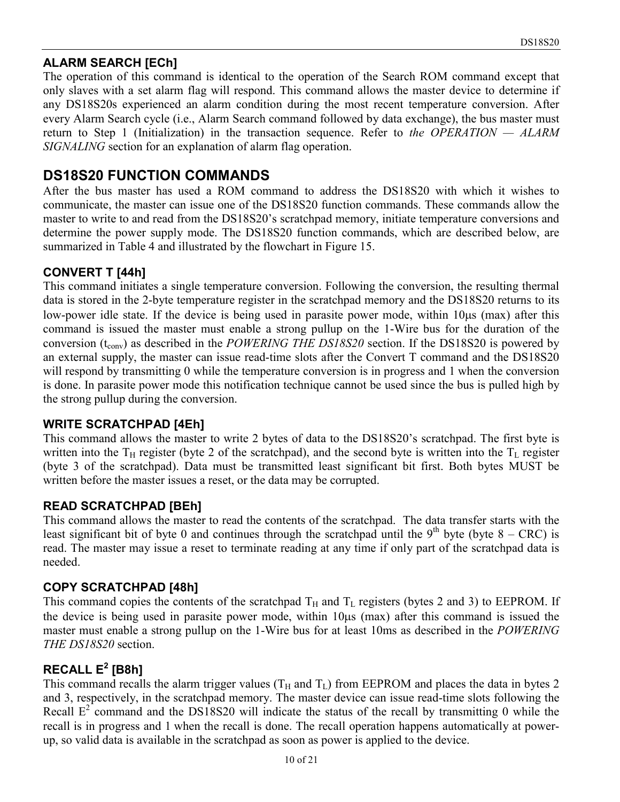#### **ALARM SEARCH [ECh]**

The operation of this command is identical to the operation of the Search ROM command except that only slaves with a set alarm flag will respond. This command allows the master device to determine if any DS18S20s experienced an alarm condition during the most recent temperature conversion. After every Alarm Search cycle (i.e., Alarm Search command followed by data exchange), the bus master must return to Step 1 (Initialization) in the transaction sequence. Refer to *the OPERATION — ALARM SIGNALING* section for an explanation of alarm flag operation.

### **DS18S20 FUNCTION COMMANDS**

After the bus master has used a ROM command to address the DS18S20 with which it wishes to communicate, the master can issue one of the DS18S20 function commands. These commands allow the master to write to and read from the DS18S20's scratchpad memory, initiate temperature conversions and determine the power supply mode. The DS18S20 function commands, which are described below, are summarized in Table 4 and illustrated by the flowchart in Figure 15.

#### **CONVERT T [44h]**

This command initiates a single temperature conversion. Following the conversion, the resulting thermal data is stored in the 2-byte temperature register in the scratchpad memory and the DS18S20 returns to its low-power idle state. If the device is being used in parasite power mode, within 10 $\mu$ s (max) after this command is issued the master must enable a strong pullup on the 1-Wire bus for the duration of the conversion ( $t_{\text{conv}}$ ) as described in the *POWERING THE DS18S20* section. If the DS18S20 is powered by an external supply, the master can issue read-time slots after the Convert T command and the DS18S20 will respond by transmitting 0 while the temperature conversion is in progress and 1 when the conversion is done. In parasite power mode this notification technique cannot be used since the bus is pulled high by the strong pullup during the conversion.

#### **WRITE SCRATCHPAD [4Eh]**

This command allows the master to write 2 bytes of data to the DS18S20's scratchpad. The first byte is written into the  $T_H$  register (byte 2 of the scratchpad), and the second byte is written into the  $T_L$  register (byte 3 of the scratchpad). Data must be transmitted least significant bit first. Both bytes MUST be written before the master issues a reset, or the data may be corrupted.

#### **READ SCRATCHPAD [BEh]**

This command allows the master to read the contents of the scratchpad. The data transfer starts with the least significant bit of byte 0 and continues through the scratchpad until the 9<sup>th</sup> byte (byte 8 – CRC) is read. The master may issue a reset to terminate reading at any time if only part of the scratchpad data is needed.

#### **COPY SCRATCHPAD [48h]**

This command copies the contents of the scratchpad  $T_H$  and  $T_L$  registers (bytes 2 and 3) to EEPROM. If the device is being used in parasite power mode, within  $10\mu s$  (max) after this command is issued the master must enable a strong pullup on the 1-Wire bus for at least 10ms as described in the *POWERING THE DS18S20* section.

#### **RECALL E<sup>2</sup> [B8h]**

This command recalls the alarm trigger values  $(T_H$  and  $T_L)$  from EEPROM and places the data in bytes 2 and 3, respectively, in the scratchpad memory. The master device can issue read-time slots following the Recall  $E^2$  command and the DS18S20 will indicate the status of the recall by transmitting 0 while the recall is in progress and 1 when the recall is done. The recall operation happens automatically at powerup, so valid data is available in the scratchpad as soon as power is applied to the device.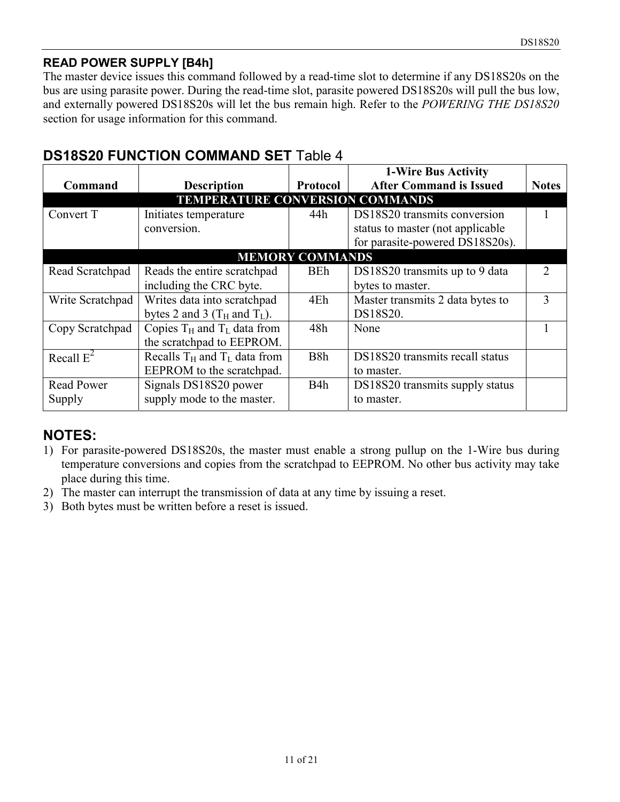#### **READ POWER SUPPLY [B4h]**

The master device issues this command followed by a read-time slot to determine if any DS18S20s on the bus are using parasite power. During the read-time slot, parasite powered DS18S20s will pull the bus low, and externally powered DS18S20s will let the bus remain high. Refer to the *POWERING THE DS18S20* section for usage information for this command.

| Command           | <b>Description</b>                     | Protocol               | 1-Wire Bus Activity<br><b>After Command is Issued</b>                | <b>Notes</b>                |
|-------------------|----------------------------------------|------------------------|----------------------------------------------------------------------|-----------------------------|
|                   | <b>TEMPERATURE CONVERSION COMMANDS</b> |                        |                                                                      |                             |
| Convert T         | Initiates temperature                  | 44h                    | DS18S20 transmits conversion                                         |                             |
|                   | conversion.                            |                        | status to master (not applicable)<br>for parasite-powered DS18S20s). |                             |
|                   |                                        | <b>MEMORY COMMANDS</b> |                                                                      |                             |
| Read Scratchpad   | Reads the entire scratchpad            | BEh                    | DS18S20 transmits up to 9 data                                       | $\mathcal{D}_{\mathcal{L}}$ |
|                   | including the CRC byte.                |                        | bytes to master.                                                     |                             |
| Write Scratchpad  | Writes data into scratchpad            | 4Eh                    | Master transmits 2 data bytes to                                     | $\mathcal{L}$               |
|                   | bytes 2 and 3 ( $T_H$ and $T_L$ ).     |                        | DS18S20.                                                             |                             |
| Copy Scratchpad   | Copies $T_H$ and $T_L$ data from       | 48h                    | None                                                                 |                             |
|                   | the scratchpad to EEPROM.              |                        |                                                                      |                             |
| Recall $E^2$      | Recalls $T_H$ and $T_L$ data from      | B <sub>8</sub> h       | DS18S20 transmits recall status                                      |                             |
|                   | EEPROM to the scratchpad.              |                        | to master.                                                           |                             |
| <b>Read Power</b> | Signals DS18S20 power                  | B4h                    | DS18S20 transmits supply status                                      |                             |
| Supply            | supply mode to the master.             |                        | to master.                                                           |                             |

# **DS18S20 FUNCTION COMMAND SET** Table 4

### **NOTES:**

- 1) For parasite-powered DS18S20s, the master must enable a strong pullup on the 1-Wire bus during temperature conversions and copies from the scratchpad to EEPROM. No other bus activity may take place during this time.
- 2) The master can interrupt the transmission of data at any time by issuing a reset.
- 3) Both bytes must be written before a reset is issued.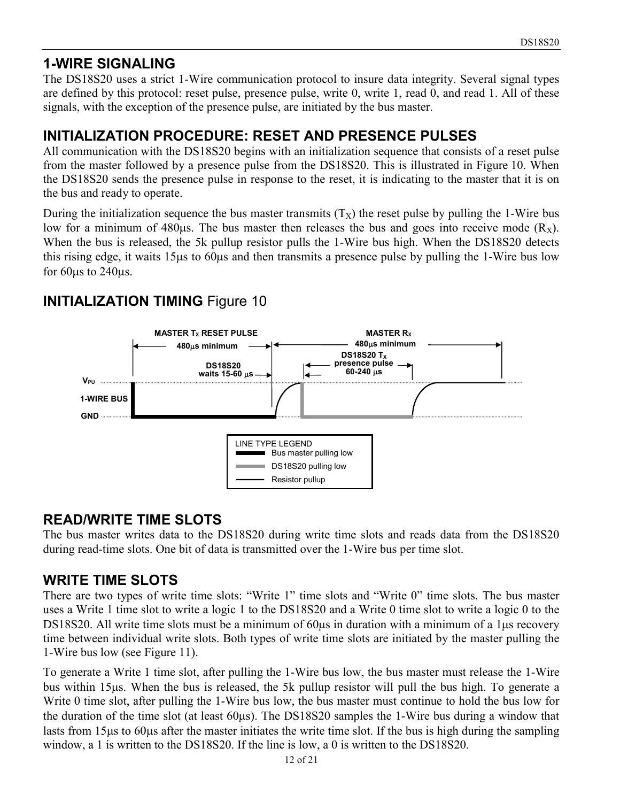# **1-WIRE SIGNALING**

The DS18S20 uses a strict 1-Wire communication protocol to insure data integrity. Several signal types are defined by this protocol: reset pulse, presence pulse, write 0, write 1, read 0, and read 1. All of these signals, with the exception of the presence pulse, are initiated by the bus master.

# **INITIALIZATION PROCEDURE: RESET AND PRESENCE PULSES**

All communication with the DS18S20 begins with an initialization sequence that consists of a reset pulse from the master followed by a presence pulse from the DS18S20. This is illustrated in Figure 10. When the DS18S20 sends the presence pulse in response to the reset, it is indicating to the master that it is on the bus and ready to operate.

During the initialization sequence the bus master transmits  $(T_X)$  the reset pulse by pulling the 1-Wire bus low for a minimum of 480 $\mu$ s. The bus master then releases the bus and goes into receive mode (R<sub>X</sub>). When the bus is released, the 5k pullup resistor pulls the 1-Wire bus high. When the DS18S20 detects this rising edge, it waits 15 $\mu$ s to 60 $\mu$ s and then transmits a presence pulse by pulling the 1-Wire bus low for  $60\mu s$  to  $240\mu s$ .

# **INITIALIZATION TIMING Figure 10**



# **READ/WRITE TIME SLOTS**

The bus master writes data to the DS18S20 during write time slots and reads data from the DS18S20 during read-time slots. One bit of data is transmitted over the 1-Wire bus per time slot.

# **WRITE TIME SLOTS**

There are two types of write time slots: "Write 1" time slots and "Write 0" time slots. The bus master uses a Write 1 time slot to write a logic 1 to the DS18S20 and a Write 0 time slot to write a logic 0 to the DS18S20. All write time slots must be a minimum of 60us in duration with a minimum of a 1us recovery time between individual write slots. Both types of write time slots are initiated by the master pulling the 1-Wire bus low (see Figure 11).

To generate a Write 1 time slot, after pulling the 1-Wire bus low, the bus master must release the 1-Wire bus within 15µs. When the bus is released, the 5k pullup resistor will pull the bus high. To generate a Write 0 time slot, after pulling the 1-Wire bus low, the bus master must continue to hold the bus low for the duration of the time slot (at least  $60\mu s$ ). The DS18S20 samples the 1-Wire bus during a window that lasts from 15 us to 60 us after the master initiates the write time slot. If the bus is high during the sampling window, a 1 is written to the DS18S20. If the line is low, a 0 is written to the DS18S20.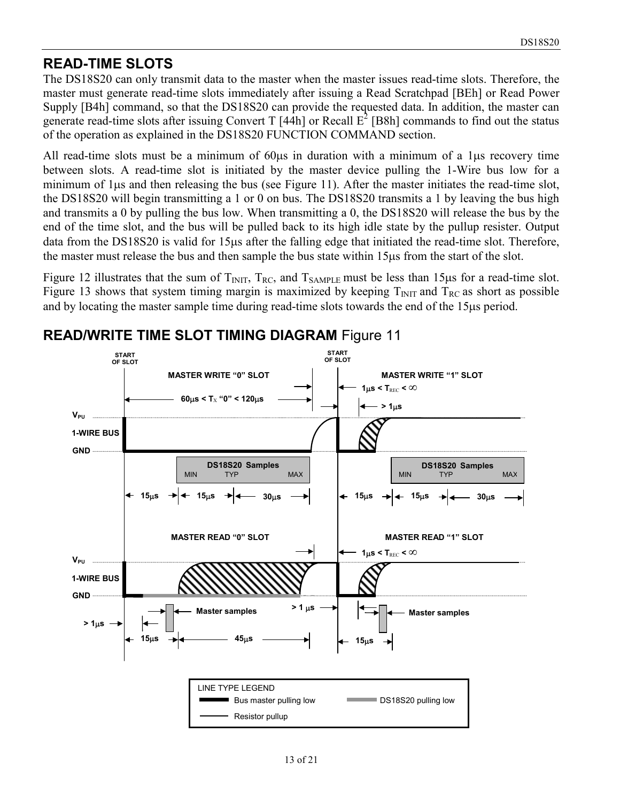### **READ-TIME SLOTS**

The DS18S20 can only transmit data to the master when the master issues read-time slots. Therefore, the master must generate read-time slots immediately after issuing a Read Scratchpad [BEh] or Read Power Supply [B4h] command, so that the DS18S20 can provide the requested data. In addition, the master can generate read-time slots after issuing Convert T  $[44h]$  or Recall  $E^2$  [B8h] commands to find out the status of the operation as explained in the DS18S20 FUNCTION COMMAND section.

All read-time slots must be a minimum of  $60\mu s$  in duration with a minimum of a 1 $\mu s$  recovery time between slots. A read-time slot is initiated by the master device pulling the 1-Wire bus low for a minimum of  $1\mu s$  and then releasing the bus (see Figure 11). After the master initiates the read-time slot, the DS18S20 will begin transmitting a 1 or 0 on bus. The DS18S20 transmits a 1 by leaving the bus high and transmits a 0 by pulling the bus low. When transmitting a 0, the DS18S20 will release the bus by the end of the time slot, and the bus will be pulled back to its high idle state by the pullup resister. Output data from the DS18S20 is valid for 15µs after the falling edge that initiated the read-time slot. Therefore, the master must release the bus and then sample the bus state within 15us from the start of the slot.

Figure 12 illustrates that the sum of  $T_{\text{INIT}}$ ,  $T_{\text{RC}}$ , and  $T_{\text{SAMPLE}}$  must be less than 15 $\mu$ s for a read-time slot. Figure 13 shows that system timing margin is maximized by keeping  $T<sub>NIT</sub>$  and  $T<sub>RC</sub>$  as short as possible and by locating the master sample time during read-time slots towards the end of the 15 $\mu$ s period.



**READ/WRITE TIME SLOT TIMING DIAGRAM** Figure 11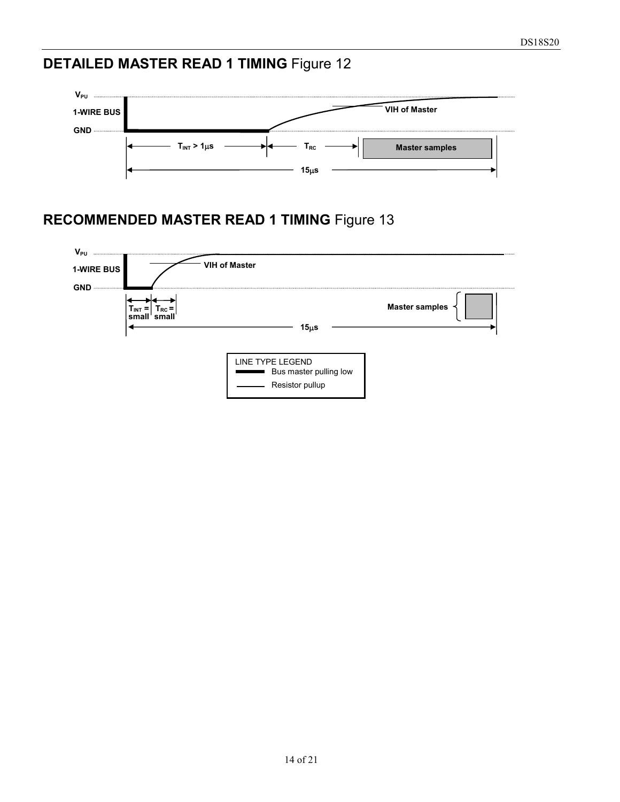# **DETAILED MASTER READ 1 TIMING** Figure 12



# **RECOMMENDED MASTER READ 1 TIMING** Figure 13

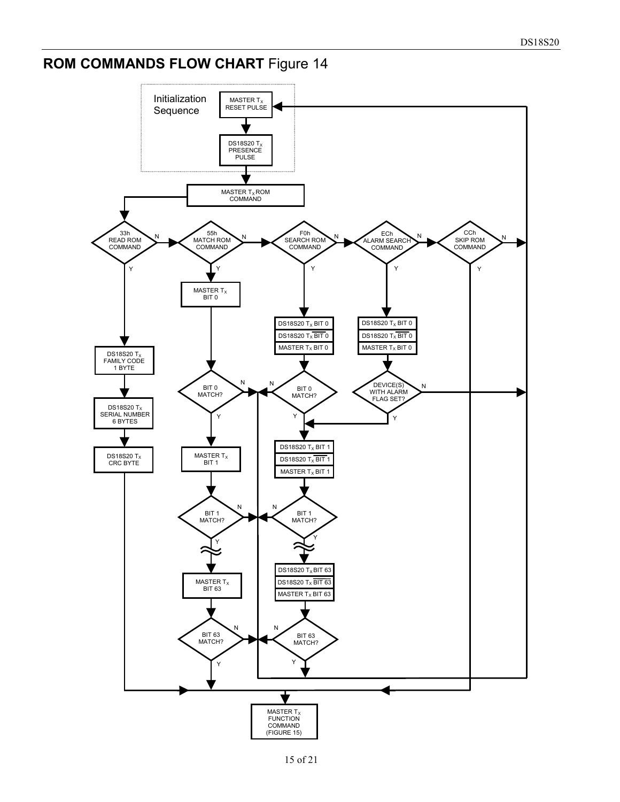# **ROM COMMANDS FLOW CHART** Figure 14

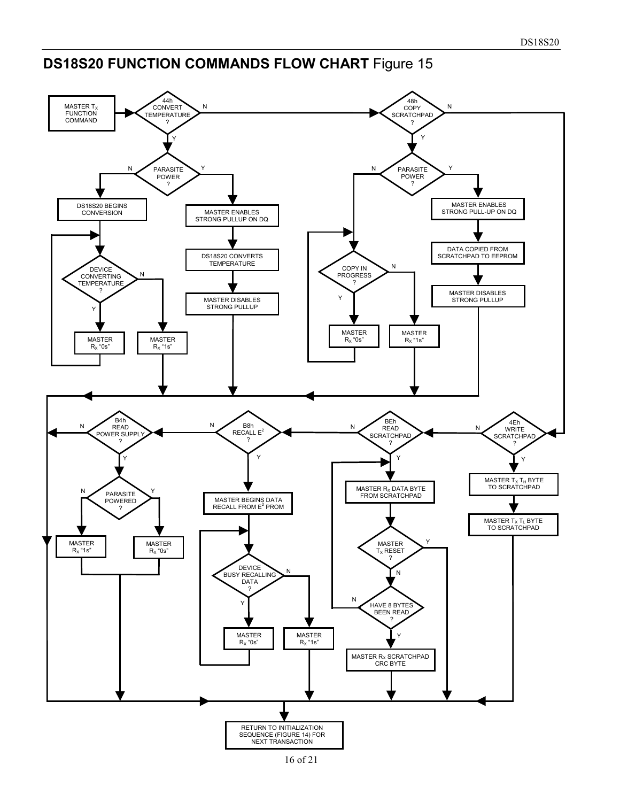# **DS18S20 FUNCTION COMMANDS FLOW CHART** Figure 15

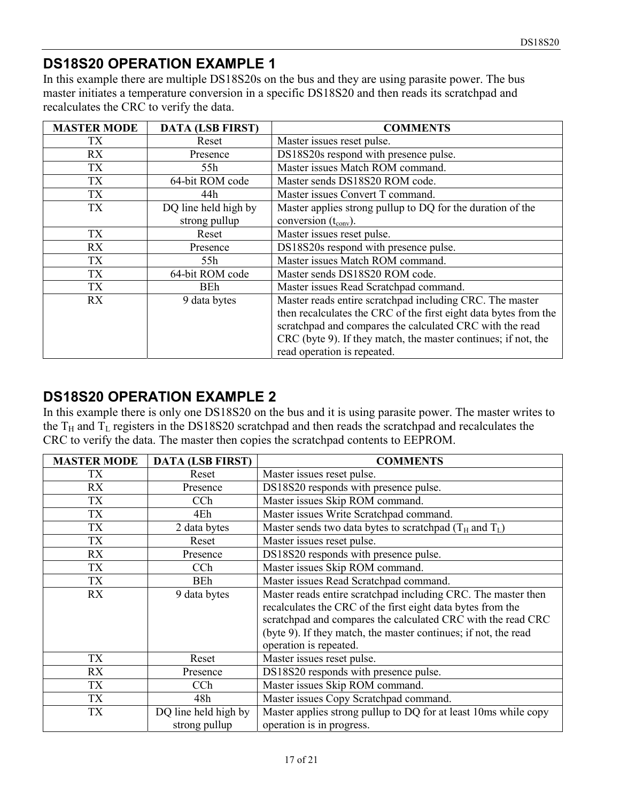# **DS18S20 OPERATION EXAMPLE 1**

In this example there are multiple DS18S20s on the bus and they are using parasite power. The bus master initiates a temperature conversion in a specific DS18S20 and then reads its scratchpad and recalculates the CRC to verify the data.

| <b>MASTER MODE</b> | <b>DATA (LSB FIRST)</b> | <b>COMMENTS</b>                                                  |
|--------------------|-------------------------|------------------------------------------------------------------|
| TХ                 | Reset                   | Master issues reset pulse.                                       |
| RX                 | Presence                | DS18S20s respond with presence pulse.                            |
| <b>TX</b>          | 55h                     | Master issues Match ROM command.                                 |
| <b>TX</b>          | 64-bit ROM code         | Master sends DS18S20 ROM code.                                   |
| TX                 | 44h                     | Master issues Convert T command.                                 |
| TX                 | DQ line held high by    | Master applies strong pullup to DQ for the duration of the       |
|                    | strong pullup           | conversion $(t_{\text{conv}})$ .                                 |
| TX                 | Reset                   | Master issues reset pulse.                                       |
| RX                 | Presence                | DS18S20s respond with presence pulse.                            |
| TX                 | 55h                     | Master issues Match ROM command.                                 |
| <b>TX</b>          | 64-bit ROM code         | Master sends DS18S20 ROM code.                                   |
| <b>TX</b>          | <b>BEh</b>              | Master issues Read Scratchpad command.                           |
| RX                 | 9 data bytes            | Master reads entire scratchpad including CRC. The master         |
|                    |                         | then recalculates the CRC of the first eight data bytes from the |
|                    |                         | scratchpad and compares the calculated CRC with the read         |
|                    |                         | CRC (byte 9). If they match, the master continues; if not, the   |
|                    |                         | read operation is repeated.                                      |

# **DS18S20 OPERATION EXAMPLE 2**

In this example there is only one DS18S20 on the bus and it is using parasite power. The master writes to the  $T_H$  and  $T_L$  registers in the DS18S20 scratchpad and then reads the scratchpad and recalculates the CRC to verify the data. The master then copies the scratchpad contents to EEPROM.

| <b>MASTER MODE</b> | <b>DATA (LSB FIRST)</b> | <b>COMMENTS</b>                                                 |
|--------------------|-------------------------|-----------------------------------------------------------------|
| TX.                | Reset                   | Master issues reset pulse.                                      |
| <b>RX</b>          | Presence                | DS18S20 responds with presence pulse.                           |
| TX                 | CCh                     | Master issues Skip ROM command.                                 |
| TX                 | 4Eh                     | Master issues Write Scratchpad command.                         |
| TX                 | 2 data bytes            | Master sends two data bytes to scratchpad $(T_H$ and $T_L$ )    |
| TX                 | Reset                   | Master issues reset pulse.                                      |
| <b>RX</b>          | Presence                | DS18S20 responds with presence pulse.                           |
| TX                 | CCh                     | Master issues Skip ROM command.                                 |
| TX                 | <b>BEh</b>              | Master issues Read Scratchpad command.                          |
| RX                 | 9 data bytes            | Master reads entire scratchpad including CRC. The master then   |
|                    |                         | recalculates the CRC of the first eight data bytes from the     |
|                    |                         | scratchpad and compares the calculated CRC with the read CRC    |
|                    |                         | (byte 9). If they match, the master continues; if not, the read |
|                    |                         | operation is repeated.                                          |
| <b>TX</b>          | Reset                   | Master issues reset pulse.                                      |
| RX                 | Presence                | DS18S20 responds with presence pulse.                           |
| TX                 | CCh                     | Master issues Skip ROM command.                                 |
| TX                 | 48h                     | Master issues Copy Scratchpad command.                          |
| <b>TX</b>          | DQ line held high by    | Master applies strong pullup to DQ for at least 10ms while copy |
|                    | strong pullup           | operation is in progress.                                       |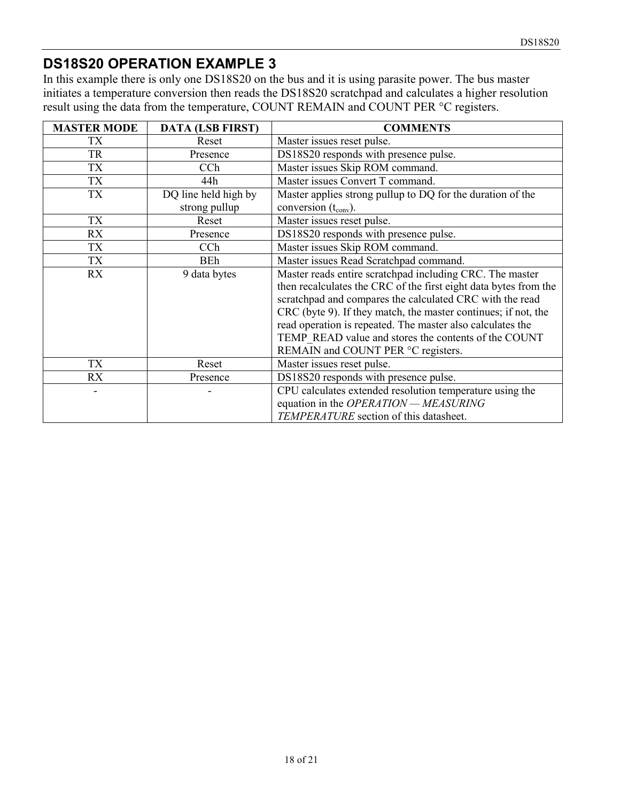# **DS18S20 OPERATION EXAMPLE 3**

In this example there is only one DS18S20 on the bus and it is using parasite power. The bus master initiates a temperature conversion then reads the DS18S20 scratchpad and calculates a higher resolution result using the data from the temperature, COUNT REMAIN and COUNT PER °C registers.

| <b>MASTER MODE</b> | <b>DATA (LSB FIRST)</b> | <b>COMMENTS</b>                                                  |
|--------------------|-------------------------|------------------------------------------------------------------|
| TX                 | Reset                   | Master issues reset pulse.                                       |
| <b>TR</b>          | Presence                | DS18S20 responds with presence pulse.                            |
| <b>TX</b>          | CCh                     | Master issues Skip ROM command.                                  |
| TX                 | 44h                     | Master issues Convert T command.                                 |
| TX                 | DQ line held high by    | Master applies strong pullup to DQ for the duration of the       |
|                    | strong pullup           | conversion $(t_{\text{conv}})$ .                                 |
| TX                 | Reset                   | Master issues reset pulse.                                       |
| RX                 | Presence                | DS18S20 responds with presence pulse.                            |
| TX                 | CCh                     | Master issues Skip ROM command.                                  |
| TX                 | BEh                     | Master issues Read Scratchpad command.                           |
| RX                 | 9 data bytes            | Master reads entire scratchpad including CRC. The master         |
|                    |                         | then recalculates the CRC of the first eight data bytes from the |
|                    |                         | scratchpad and compares the calculated CRC with the read         |
|                    |                         | CRC (byte 9). If they match, the master continues; if not, the   |
|                    |                         | read operation is repeated. The master also calculates the       |
|                    |                         | TEMP READ value and stores the contents of the COUNT             |
|                    |                         | REMAIN and COUNT PER °C registers.                               |
| TX                 | Reset                   | Master issues reset pulse.                                       |
| <b>RX</b>          | Presence                | DS18S20 responds with presence pulse.                            |
|                    |                         | CPU calculates extended resolution temperature using the         |
|                    |                         | equation in the OPERATION - MEASURING                            |
|                    |                         | TEMPERATURE section of this datasheet.                           |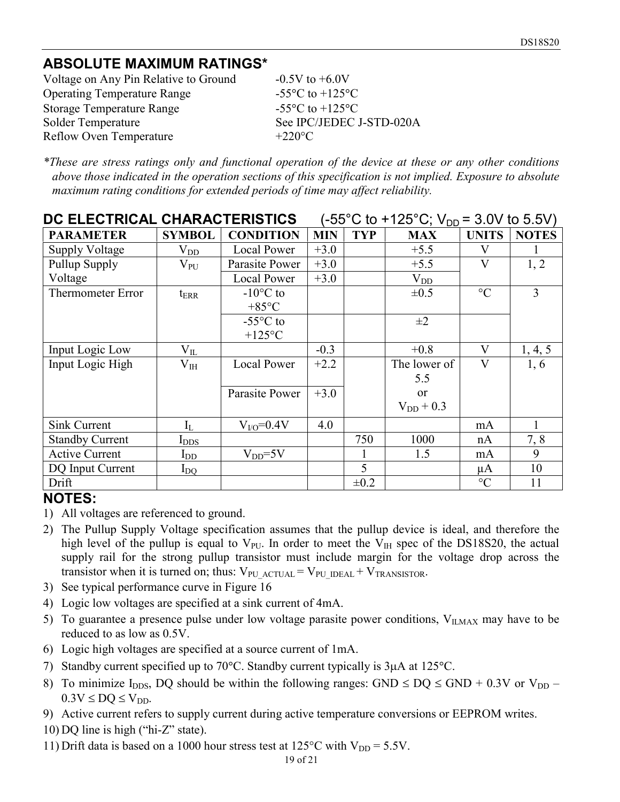# **ABSOLUTE MAXIMUM RATINGS\***

Voltage on Any Pin Relative to Ground  $-0.5V$  to  $+6.0V$ Operating Temperature Range Storage Temperature Range Solder Temperature See IPC/JEDEC J-STD-020A Reflow Oven Temperature  $+220^{\circ}$ C

C to  $+125$ <sup>o</sup>C C to  $+125$ <sup>o</sup>C

*\*These are stress ratings only and functional operation of the device at these or any other conditions above those indicated in the operation sections of this specification is not implied. Exposure to absolute maximum rating conditions for extended periods of time may affect reliability.*

| DC ELECTRICAL CHARACTERISTICS |                  |                    | $(-55^{\circ}$ C to +125°C; V <sub>DD</sub> = 3.0V to 5.5V) |            |                |                 |              |
|-------------------------------|------------------|--------------------|-------------------------------------------------------------|------------|----------------|-----------------|--------------|
| <b>PARAMETER</b>              | <b>SYMBOL</b>    | <b>CONDITION</b>   | <b>MIN</b>                                                  | <b>TYP</b> | <b>MAX</b>     | <b>UNITS</b>    | <b>NOTES</b> |
| <b>Supply Voltage</b>         | $\rm V_{DD}$     | Local Power        | $+3.0$                                                      |            | $+5.5$         | V               |              |
| Pullup Supply                 | $\rm V_{PU}$     | Parasite Power     | $+3.0$                                                      |            | $+5.5$         | V               | 1, 2         |
| Voltage                       |                  | <b>Local Power</b> | $+3.0$                                                      |            | $V_{DD}$       |                 |              |
| <b>Thermometer Error</b>      | $t_{\rm{ERR}}$   | $-10$ °C to        |                                                             |            | $\pm 0.5$      | $\rm ^{\circ}C$ | 3            |
|                               |                  | $+85^{\circ}C$     |                                                             |            |                |                 |              |
|                               |                  | $-55^{\circ}$ C to |                                                             |            | $\pm 2$        |                 |              |
|                               |                  | $+125$ °C          |                                                             |            |                |                 |              |
| Input Logic Low               | $\rm V_{II}$     |                    | $-0.3$                                                      |            | $+0.8$         | V               | 1, 4, 5      |
| Input Logic High              | $\rm V_{IH}$     | <b>Local Power</b> | $+2.2$                                                      |            | The lower of   | $\mathbf{V}$    | 1, 6         |
|                               |                  |                    |                                                             |            | 5.5            |                 |              |
|                               |                  | Parasite Power     | $+3.0$                                                      |            | or             |                 |              |
|                               |                  |                    |                                                             |            | $V_{DD}$ + 0.3 |                 |              |
| Sink Current                  | $I_L$            | $V_{VQ} = 0.4V$    | 4.0                                                         |            |                | mA              |              |
| <b>Standby Current</b>        | $I_{\text{DDS}}$ |                    |                                                             | 750        | 1000           | nA              | 7, 8         |
| <b>Active Current</b>         | $I_{DD}$         | $V_{DD} = 5V$      |                                                             | 1          | 1.5            | mA              | 9            |
| DQ Input Current              | $I_{\rm{DQ}}$    |                    |                                                             | 5          |                | $\mu$ A         | 10           |
| Drift                         |                  |                    |                                                             | $\pm 0.2$  |                | $\rm ^{\circ}C$ | 11           |

#### **NOTES:**

- 1) All voltages are referenced to ground.
- 2) The Pullup Supply Voltage specification assumes that the pullup device is ideal, and therefore the high level of the pullup is equal to  $V_{\text{PU}}$ . In order to meet the  $V_{\text{IH}}$  spec of the DS18S20, the actual supply rail for the strong pullup transistor must include margin for the voltage drop across the transistor when it is turned on; thus:  $V_{PU\,\text{ACTUAL}} = V_{PU\,\text{IDEAL}} + V_{\text{TRANSISTOR}}$ .
- 3) See typical performance curve in Figure 16
- 4) Logic low voltages are specified at a sink current of 4mA.
- 5) To guarantee a presence pulse under low voltage parasite power conditions,  $V_{IIMAX}$  may have to be reduced to as low as 0.5V.
- 6) Logic high voltages are specified at a source current of 1mA.
- 7) Standby current specified up to 70°C. Standby current typically is  $3\mu A$  at 125°C.
- 8) To minimize I<sub>DDS</sub>, DQ should be within the following ranges: GND  $\leq$  DQ  $\leq$  GND + 0.3V or V<sub>DD</sub>  $0.3V \leq DO \leq V_{DD}$ .
- 9) Active current refers to supply current during active temperature conversions or EEPROM writes.
- 10) DQ line is high ("hi-Z" state).
- 11) Drift data is based on a 1000 hour stress test at  $125^{\circ}$ C with  $V_{DD} = 5.5V$ .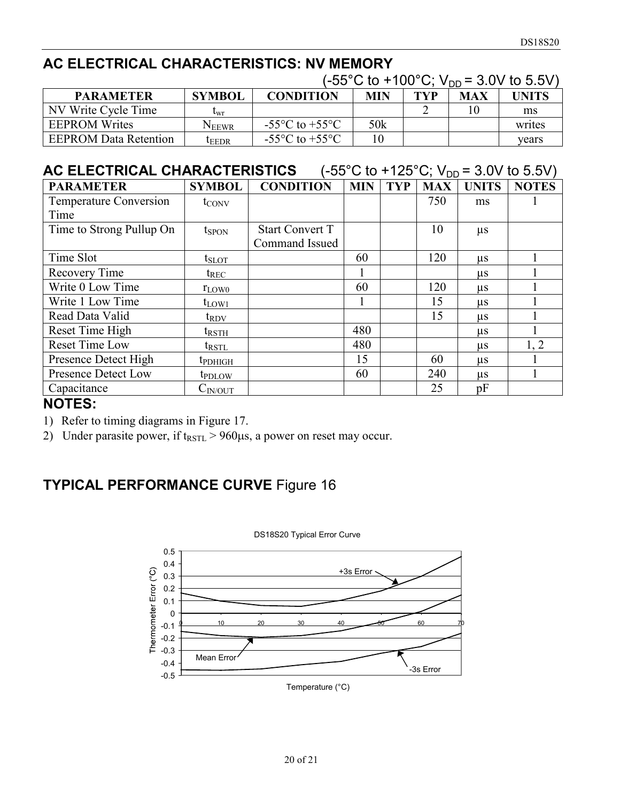# **AC ELECTRICAL CHARACTERISTICS: NV MEMORY**

|                              | $(-55^{\circ} \text{C}$ to +100°C; $V_{DD}$ = 3.0V to 5.5V) |                                    |     |            |     |              |  |  |
|------------------------------|-------------------------------------------------------------|------------------------------------|-----|------------|-----|--------------|--|--|
| <b>PARAMETER</b>             | <b>SYMBOL</b>                                               | <b>CONDITION</b>                   | MIN | <b>TYP</b> | MAX | <b>UNITS</b> |  |  |
| NV Write Cycle Time          | $\iota_{\text{wr}}$                                         |                                    |     |            | 10  | ms           |  |  |
| <b>EEPROM Writes</b>         | Neewr                                                       | $-55^{\circ}$ C to $+55^{\circ}$ C | 50k |            |     | writes       |  |  |
| <b>EEPROM Data Retention</b> | LEEDR                                                       | $-55^{\circ}$ C to $+55^{\circ}$ C | 10  |            |     | vears        |  |  |

# **AC ELECTRICAL CHARACTERISTICS**  $(-55^{\circ}C \text{ to } +125^{\circ}C; V_{DD} = 3.0V \text{ to } 5.5V)$

| <b>PARAMETER</b>              | <b>SYMBOL</b>              | <b>CONDITION</b>       | <b>MIN</b> | <b>TYP</b> | <b>MAX</b> | <b>UNITS</b> | <b>NOTES</b> |
|-------------------------------|----------------------------|------------------------|------------|------------|------------|--------------|--------------|
| <b>Temperature Conversion</b> | $t_{\text{CONV}}$          |                        |            |            | 750        | ms           |              |
| Time                          |                            |                        |            |            |            |              |              |
| Time to Strong Pullup On      | $t_{SPON}$                 | <b>Start Convert T</b> |            |            | 10         | $\mu$ s      |              |
|                               |                            | Command Issued         |            |            |            |              |              |
| Time Slot                     | $t_{\rm SLOT}$             |                        | 60         |            | 120        | $\mu$ s      |              |
| Recovery Time                 | $t_{REC}$                  |                        |            |            |            | $\mu$ s      |              |
| Write 0 Low Time              | $r_{LOW0}$                 |                        | 60         |            | 120        | $\mu$ s      |              |
| Write 1 Low Time              | $t_{LOW1}$                 |                        |            |            | 15         | $\mu$ s      |              |
| Read Data Valid               | $t_{\rm{RDV}}$             |                        |            |            | 15         | $\mu$ s      |              |
| Reset Time High               | trsth                      |                        | 480        |            |            | $\mu$ s      |              |
| <b>Reset Time Low</b>         | $t_{\rm RSTL}$             |                        | 480        |            |            | $\mu$ s      | 1, 2         |
| Presence Detect High          | <b>t</b> <sub>PDHIGH</sub> |                        | 15         |            | 60         | $\mu$ s      |              |
| <b>Presence Detect Low</b>    | <b>t</b> <sub>PDLOW</sub>  |                        | 60         |            | 240        | $\mu$ s      |              |
| Capacitance                   | $\mathrm{C_{IN/OUT}}$      |                        |            |            | 25         | pF           |              |

#### **NOTES:**

- 1) Refer to timing diagrams in Figure 17.
- 2) Under parasite power, if  $t_{\text{RSTL}} > 960 \mu s$ , a power on reset may occur.

# **TYPICAL PERFORMANCE CURVE** Figure 16